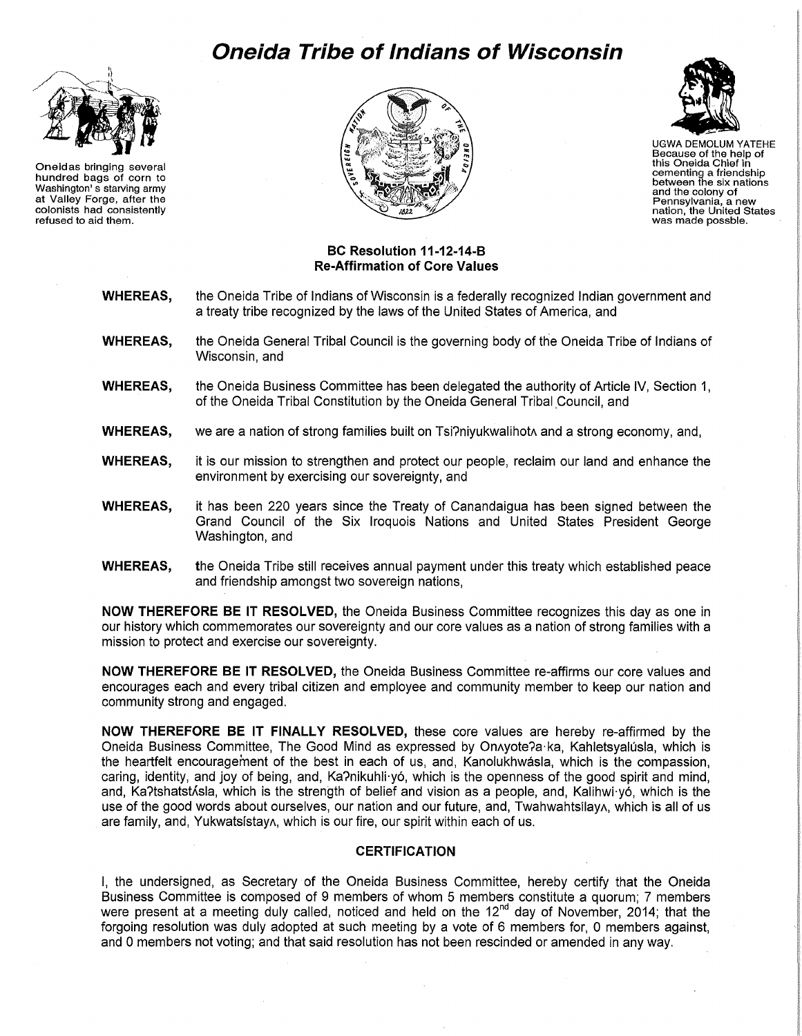## **Oneida Tribe of Indians of Wisconsin**



Oneidas bringing several hundred bags of corn to Washington' s starving army at Valley Forge, after the colonists had consistently refused to aid them.





UGWA DEMOLUM YATEHE Because of the help of this Oneida Chief in cementing a friendship between the six nations and the colony of Pennsylvania, a new nation, the United States was made possble.

## **BC Resolution 11-12-14-B Re-Affirmation of Core Values**

- **WHEREAS,** the Oneida Tribe of Indians of Wisconsin is a federally recognized Indian government and a treaty tribe recognized by the laws of the United States of America, and
- **WHEREAS,** the Oneida General Tribal Council is the governing body of the Oneida Tribe of Indians of Wisconsin, and
- **WHEREAS,** the Oneida Business Committee has been delegated the authority of Article IV, Section 1, of the Oneida Tribal Constitution by the Oneida General Tribal Council, and
- **WHEREAS,** we are a nation of strong families built on Tsi?niyukwalihot and a strong economy, and,
- **WHEREAS,** it is our mission to strengthen and protect our people, reclaim our land and enhance the environment by exercising our sovereignty, and
- **WHEREAS,** it has been 220 years since the Treaty of Canandaigua has been signed between the Grand Council of the Six Iroquois Nations and United States President George Washington, and
- **WHEREAS,** the Oneida Tribe still receives annual payment under this treaty which established peace and friendship amongst two sovereign nations,

**NOW THEREFORE BE IT RESOLVED,** the Oneida Business Committee recognizes this day as one in our history which commemorates our sovereignty and our core values as a nation of strong families with a mission to protect and exercise our sovereignty.

**NOW THEREFORE BE IT RESOLVED,** the Oneida Business Committee re-affirms our core values and encourages each and every tribal citizen and employee and community member to keep our nation and community strong and engaged.

**NOW THEREFORE BE IT FINALLY RESOLVED,** these core values are hereby re-affirmed by the Oneida Business Committee, The Good Mind as expressed by OnAyote?a·ka, Kahletsyalusla, which is the heartfelt encouragement of the best in each of us, and, Kanolukhwasla, which is the compassion, caring, identity, and joy of being, and, Ka?nikuhli·y6, which is the openness of the good spirit and mind, and, Ka?tshatst 
shahes is the strength of belief and vision as a people, and, Kalihwi·yó, which is the use of the good words about ourselves, our nation and our future, and, Twahwahtsilay A, which is all of us are family, and, YukwatsistayA, which is our fire, our spirit within each of us.

## **CERTIFICATION**

I, the undersigned, as Secretary of the Oneida Business Committee, hereby certify that the Oneida Business Committee is composed of 9 members of whom 5 members constitute a quorum; 7 members were present at a meeting duly called, noticed and held on the 12<sup>nd</sup> day of November, 2014; that the forgoing resolution was duly adopted at such meeting by a vote of 6 members for, 0 members against, and 0 members not voting; and that said resolution has not been rescinded or amended in any way.